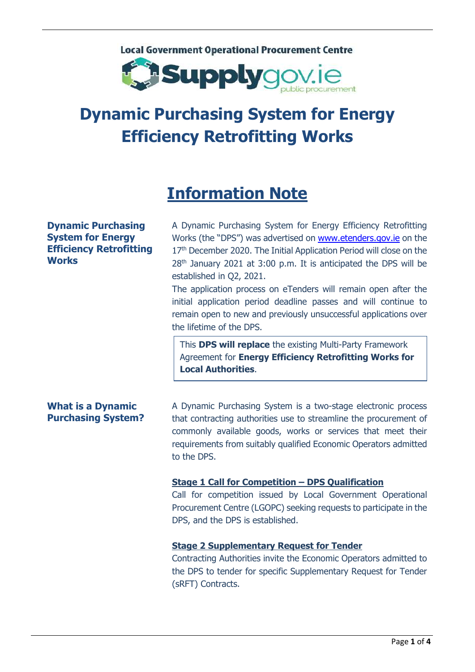



# Dynamic Purchasing System for Energy Efficiency Retrofitting Works

## Information Note

### Dynamic Purchasing System for Energy Efficiency Retrofitting **Works**

A Dynamic Purchasing System for Energy Efficiency Retrofitting Works (the "DPS") was advertised on www.etenders.gov.ie on the 17<sup>th</sup> December 2020. The Initial Application Period will close on the 28<sup>th</sup> January 2021 at 3:00 p.m. It is anticipated the DPS will be established in Q2, 2021.

The application process on eTenders will remain open after the initial application period deadline passes and will continue to remain open to new and previously unsuccessful applications over the lifetime of the DPS.

This DPS will replace the existing Multi-Party Framework Agreement for Energy Efficiency Retrofitting Works for Local Authorities.

### What is a Dynamic Purchasing System?

A Dynamic Purchasing System is a two-stage electronic process that contracting authorities use to streamline the procurement of commonly available goods, works or services that meet their requirements from suitably qualified Economic Operators admitted to the DPS.

#### Stage 1 Call for Competition – DPS Qualification

Call for competition issued by Local Government Operational Procurement Centre (LGOPC) seeking requests to participate in the DPS, and the DPS is established.

#### Stage 2 Supplementary Request for Tender

Contracting Authorities invite the Economic Operators admitted to the DPS to tender for specific Supplementary Request for Tender (sRFT) Contracts.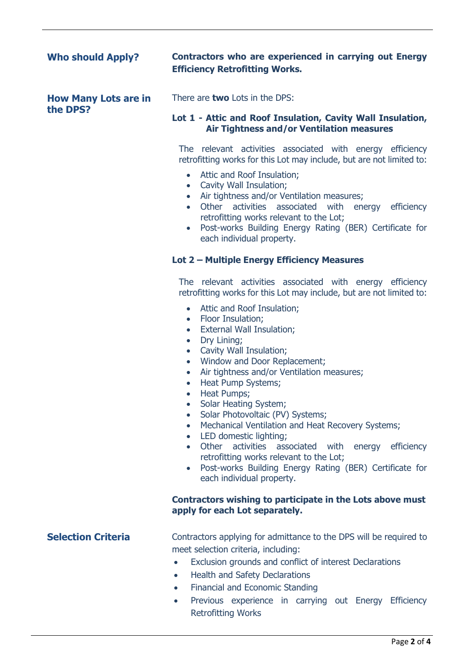### How Many Lots are in the DPS? There are **two** Lots in the DPS: Lot 1 - Attic and Roof Insulation, Cavity Wall Insulation, Air Tightness and/or Ventilation measures The relevant activities associated with energy efficiency retrofitting works for this Lot may include, but are not limited to: • Attic and Roof Insulation: Cavity Wall Insulation; • Air tightness and/or Ventilation measures; Other activities associated with energy efficiency retrofitting works relevant to the Lot; Post-works Building Energy Rating (BER) Certificate for each individual property. Lot 2 – Multiple Energy Efficiency Measures The relevant activities associated with energy efficiency retrofitting works for this Lot may include, but are not limited to: Attic and Roof Insulation; • Floor Insulation; • External Wall Insulation: • Dry Lining; Cavity Wall Insulation; • Window and Door Replacement; • Air tightness and/or Ventilation measures: Heat Pump Systems; Heat Pumps; • Solar Heating System; • Solar Photovoltaic (PV) Systems; • Mechanical Ventilation and Heat Recovery Systems: • LED domestic lighting; Other activities associated with energy efficiency retrofitting works relevant to the Lot; Post-works Building Energy Rating (BER) Certificate for each individual property. Contractors wishing to participate in the Lots above must apply for each Lot separately. **Selection Criteria** Contractors applying for admittance to the DPS will be required to meet selection criteria, including: Exclusion grounds and conflict of interest Declarations • Health and Safety Declarations • Financial and Economic Standing • Previous experience in carrying out Energy Efficiency Retrofitting Works

Who should Apply? Contractors who are experienced in carrying out Energy Efficiency Retrofitting Works.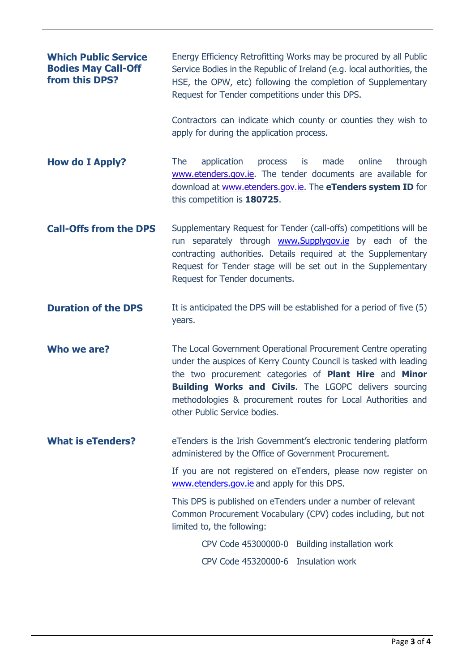| <b>Which Public Service</b><br><b>Bodies May Call-Off</b><br>from this DPS? | Energy Efficiency Retrofitting Works may be procured by all Public<br>Service Bodies in the Republic of Ireland (e.g. local authorities, the<br>HSE, the OPW, etc) following the completion of Supplementary<br>Request for Tender competitions under this DPS.                                                                                               |
|-----------------------------------------------------------------------------|---------------------------------------------------------------------------------------------------------------------------------------------------------------------------------------------------------------------------------------------------------------------------------------------------------------------------------------------------------------|
|                                                                             | Contractors can indicate which county or counties they wish to<br>apply for during the application process.                                                                                                                                                                                                                                                   |
| <b>How do I Apply?</b>                                                      | application<br>made<br>online<br>through<br><b>The</b><br>process<br>is<br>www.etenders.gov.ie. The tender documents are available for<br>download at www.etenders.gov.ie. The eTenders system ID for<br>this competition is 180725.                                                                                                                          |
| <b>Call-Offs from the DPS</b>                                               | Supplementary Request for Tender (call-offs) competitions will be<br>run separately through www.Supplygov.ie by each of the<br>contracting authorities. Details required at the Supplementary<br>Request for Tender stage will be set out in the Supplementary<br>Request for Tender documents.                                                               |
| <b>Duration of the DPS</b>                                                  | It is anticipated the DPS will be established for a period of five (5)<br>years.                                                                                                                                                                                                                                                                              |
| Who we are?                                                                 | The Local Government Operational Procurement Centre operating<br>under the auspices of Kerry County Council is tasked with leading<br>the two procurement categories of Plant Hire and Minor<br><b>Building Works and Civils.</b> The LGOPC delivers sourcing<br>methodologies & procurement routes for Local Authorities and<br>other Public Service bodies. |
| <b>What is eTenders?</b>                                                    | eTenders is the Irish Government's electronic tendering platform<br>administered by the Office of Government Procurement.                                                                                                                                                                                                                                     |
|                                                                             | If you are not registered on eTenders, please now register on<br>www.etenders.gov.ie and apply for this DPS.                                                                                                                                                                                                                                                  |
|                                                                             | This DPS is published on eTenders under a number of relevant<br>Common Procurement Vocabulary (CPV) codes including, but not<br>limited to, the following:                                                                                                                                                                                                    |
|                                                                             | CPV Code 45300000-0 Building installation work                                                                                                                                                                                                                                                                                                                |
|                                                                             | CPV Code 45320000-6 Insulation work                                                                                                                                                                                                                                                                                                                           |